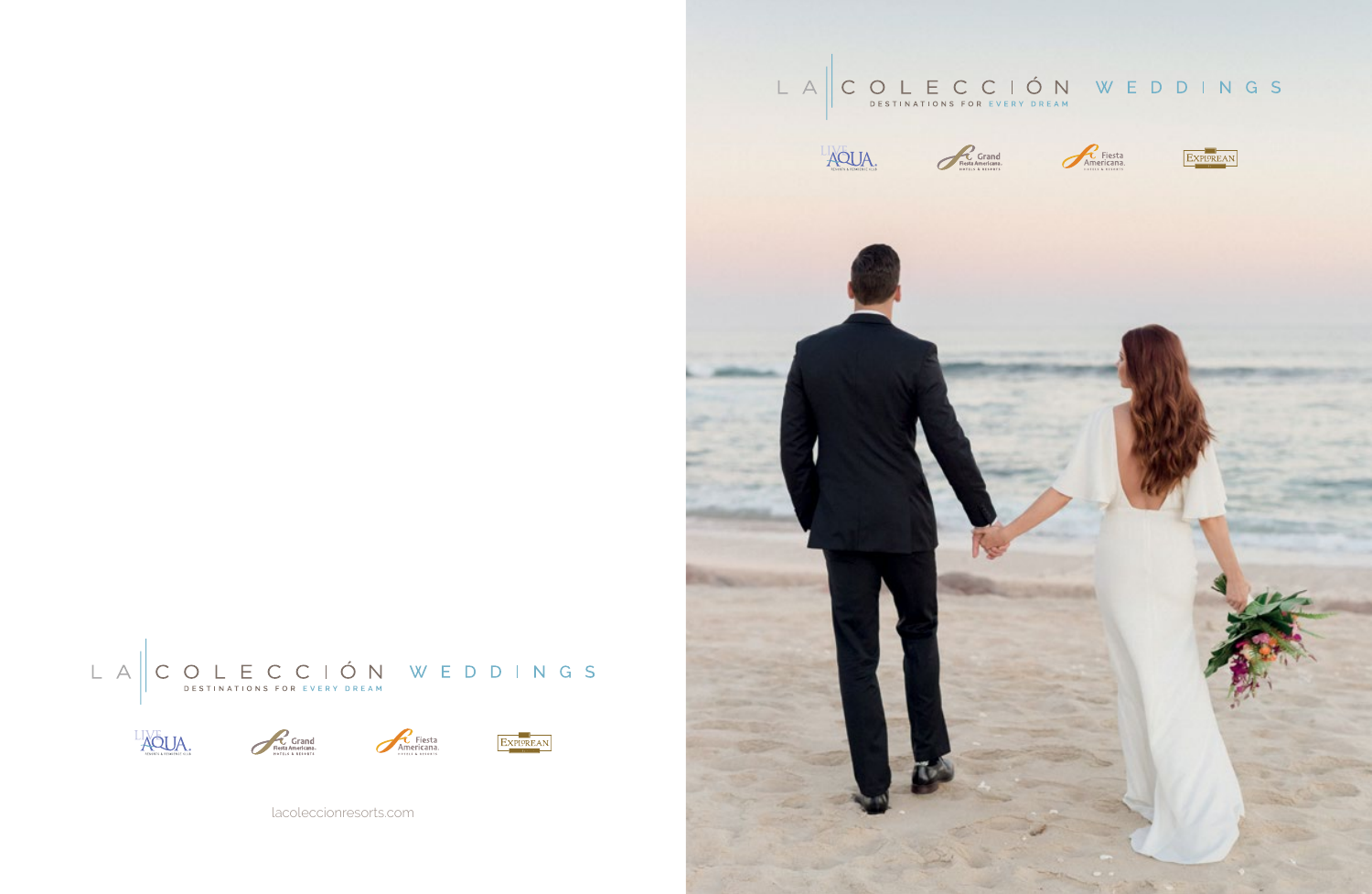